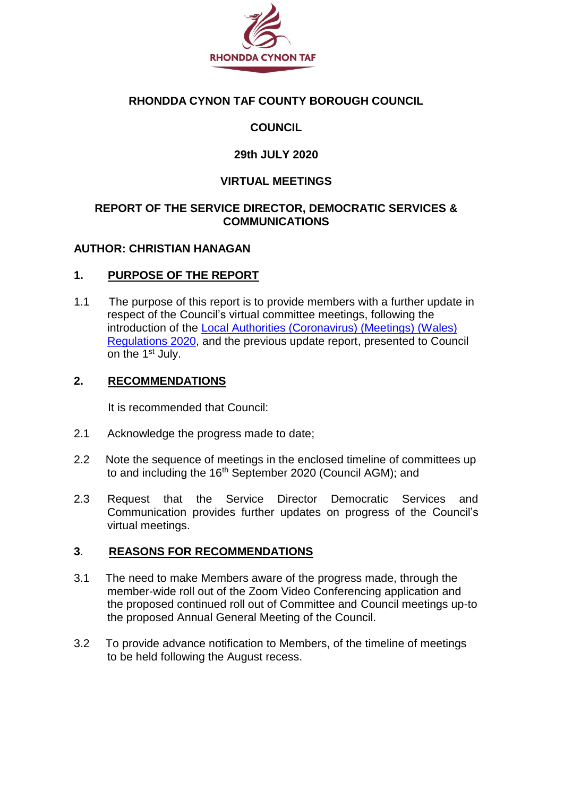

### **RHONDDA CYNON TAF COUNTY BOROUGH COUNCIL**

## **COUNCIL**

### **29th JULY 2020**

#### **VIRTUAL MEETINGS**

#### **REPORT OF THE SERVICE DIRECTOR, DEMOCRATIC SERVICES & COMMUNICATIONS**

### **AUTHOR: CHRISTIAN HANAGAN**

#### **1. PURPOSE OF THE REPORT**

1.1 The purpose of this report is to provide members with a further update in respect of the Council's virtual committee meetings, following the introduction of the [Local Authorities \(Coronavirus\) \(Meetings\) \(Wales\)](https://gov.wales/local-authorities-coronavirus-meetings-wales-regulations-2020)  [Regulations 2020,](https://gov.wales/local-authorities-coronavirus-meetings-wales-regulations-2020) and the previous update report, presented to Council on the 1<sup>st</sup> July.

#### **2. RECOMMENDATIONS**

It is recommended that Council:

- 2.1 Acknowledge the progress made to date;
- 2.2 Note the sequence of meetings in the enclosed timeline of committees up to and including the 16<sup>th</sup> September 2020 (Council AGM); and
- 2.3 Request that the Service Director Democratic Services and Communication provides further updates on progress of the Council's virtual meetings.

### **3**. **REASONS FOR RECOMMENDATIONS**

- 3.1The need to make Members aware of the progress made, through the member-wide roll out of the Zoom Video Conferencing application and the proposed continued roll out of Committee and Council meetings up-to the proposed Annual General Meeting of the Council.
- 3.2 To provide advance notification to Members, of the timeline of meetings to be held following the August recess.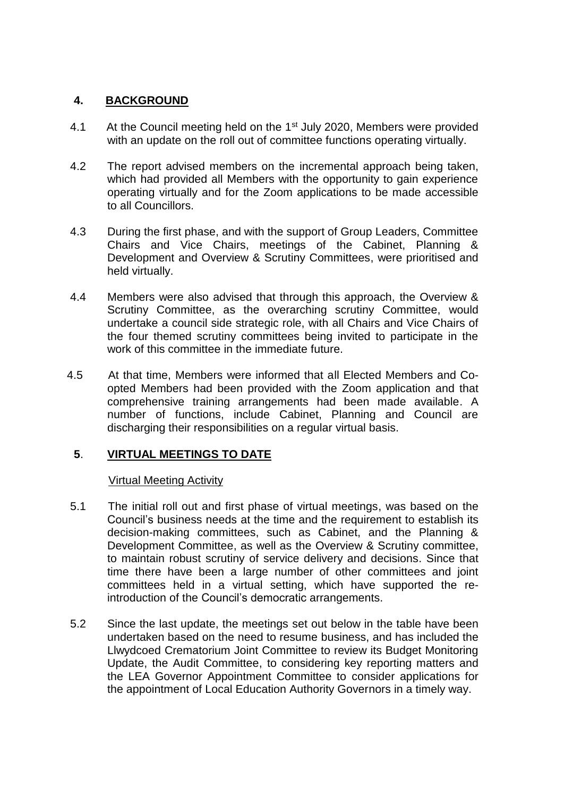#### **4. BACKGROUND**

- 4.1 At the Council meeting held on the 1<sup>st</sup> July 2020, Members were provided with an update on the roll out of committee functions operating virtually.
- 4.2 The report advised members on the incremental approach being taken, which had provided all Members with the opportunity to gain experience operating virtually and for the Zoom applications to be made accessible to all Councillors.
- 4.3 During the first phase, and with the support of Group Leaders, Committee Chairs and Vice Chairs, meetings of the Cabinet, Planning & Development and Overview & Scrutiny Committees, were prioritised and held virtually.
- 4.4 Members were also advised that through this approach, the Overview & Scrutiny Committee, as the overarching scrutiny Committee, would undertake a council side strategic role, with all Chairs and Vice Chairs of the four themed scrutiny committees being invited to participate in the work of this committee in the immediate future.
- 4.5 At that time, Members were informed that all Elected Members and Coopted Members had been provided with the Zoom application and that comprehensive training arrangements had been made available. A number of functions, include Cabinet, Planning and Council are discharging their responsibilities on a regular virtual basis.

### **5**. **VIRTUAL MEETINGS TO DATE**

#### Virtual Meeting Activity

- 5.1 The initial roll out and first phase of virtual meetings, was based on the Council's business needs at the time and the requirement to establish its decision-making committees, such as Cabinet, and the Planning & Development Committee, as well as the Overview & Scrutiny committee, to maintain robust scrutiny of service delivery and decisions. Since that time there have been a large number of other committees and joint committees held in a virtual setting, which have supported the reintroduction of the Council's democratic arrangements.
- 5.2 Since the last update, the meetings set out below in the table have been undertaken based on the need to resume business, and has included the Llwydcoed Crematorium Joint Committee to review its Budget Monitoring Update, the Audit Committee, to considering key reporting matters and the LEA Governor Appointment Committee to consider applications for the appointment of Local Education Authority Governors in a timely way.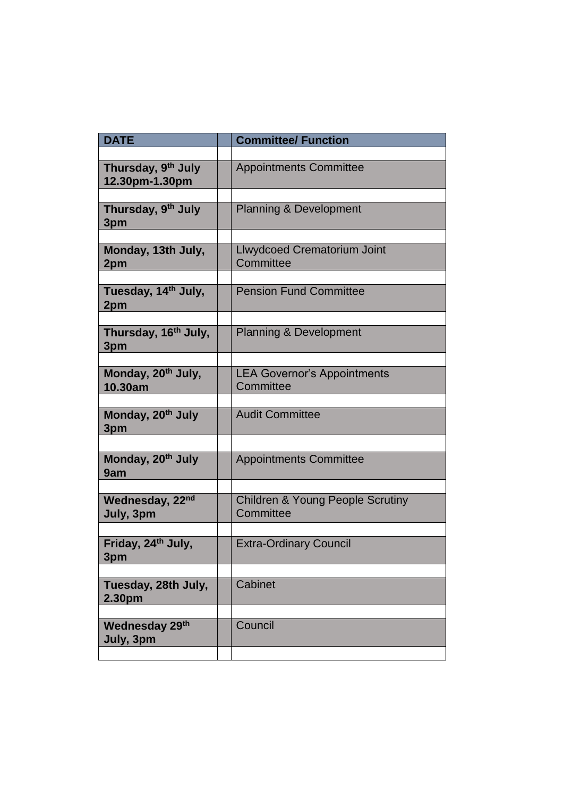| <b>DATE</b>                               | <b>Committee/ Function</b>                               |
|-------------------------------------------|----------------------------------------------------------|
|                                           |                                                          |
| Thursday, 9th July<br>12.30pm-1.30pm      | <b>Appointments Committee</b>                            |
|                                           |                                                          |
| Thursday, 9th July<br>3pm                 | <b>Planning &amp; Development</b>                        |
|                                           |                                                          |
| Monday, 13th July,<br>2pm                 | Llwydcoed Crematorium Joint<br>Committee                 |
|                                           |                                                          |
| Tuesday, 14 <sup>th</sup> July,<br>2pm    | <b>Pension Fund Committee</b>                            |
|                                           |                                                          |
| Thursday, 16 <sup>th</sup> July,<br>3pm   | <b>Planning &amp; Development</b>                        |
|                                           |                                                          |
| Monday, 20 <sup>th</sup> July,<br>10.30am | <b>LEA Governor's Appointments</b><br>Committee          |
|                                           |                                                          |
| Monday, 20 <sup>th</sup> July<br>3pm      | <b>Audit Committee</b>                                   |
|                                           |                                                          |
| Monday, 20 <sup>th</sup> July<br>9am      | <b>Appointments Committee</b>                            |
|                                           |                                                          |
| Wednesday, 22nd<br>July, 3pm              | <b>Children &amp; Young People Scrutiny</b><br>Committee |
|                                           |                                                          |
| Friday, 24th July,<br>3pm                 | <b>Extra-Ordinary Council</b>                            |
|                                           |                                                          |
| Tuesday, 28th July,<br>2.30pm             | Cabinet                                                  |
|                                           |                                                          |
| <b>Wednesday 29th</b><br>July, 3pm        | Council                                                  |
|                                           |                                                          |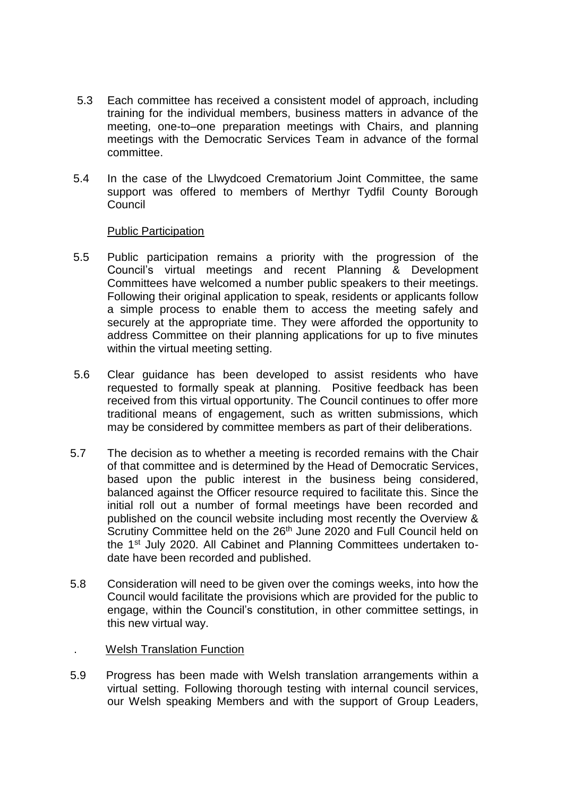- 5.3 Each committee has received a consistent model of approach, including training for the individual members, business matters in advance of the meeting, one-to–one preparation meetings with Chairs, and planning meetings with the Democratic Services Team in advance of the formal committee.
- 5.4 In the case of the Llwydcoed Crematorium Joint Committee, the same support was offered to members of Merthyr Tydfil County Borough Council

#### Public Participation

- 5.5 Public participation remains a priority with the progression of the Council's virtual meetings and recent Planning & Development Committees have welcomed a number public speakers to their meetings. Following their original application to speak, residents or applicants follow a simple process to enable them to access the meeting safely and securely at the appropriate time. They were afforded the opportunity to address Committee on their planning applications for up to five minutes within the virtual meeting setting.
- 5.6 Clear guidance has been developed to assist residents who have requested to formally speak at planning. Positive feedback has been received from this virtual opportunity. The Council continues to offer more traditional means of engagement, such as written submissions, which may be considered by committee members as part of their deliberations.
- 5.7 The decision as to whether a meeting is recorded remains with the Chair of that committee and is determined by the Head of Democratic Services, based upon the public interest in the business being considered, balanced against the Officer resource required to facilitate this. Since the initial roll out a number of formal meetings have been recorded and published on the council website including most recently the Overview & Scrutiny Committee held on the 26<sup>th</sup> June 2020 and Full Council held on the 1<sup>st July</sup> 2020. All Cabinet and Planning Committees undertaken todate have been recorded and published.
- 5.8 Consideration will need to be given over the comings weeks, into how the Council would facilitate the provisions which are provided for the public to engage, within the Council's constitution, in other committee settings, in this new virtual way.

#### . Welsh Translation Function

5.9 Progress has been made with Welsh translation arrangements within a virtual setting. Following thorough testing with internal council services, our Welsh speaking Members and with the support of Group Leaders,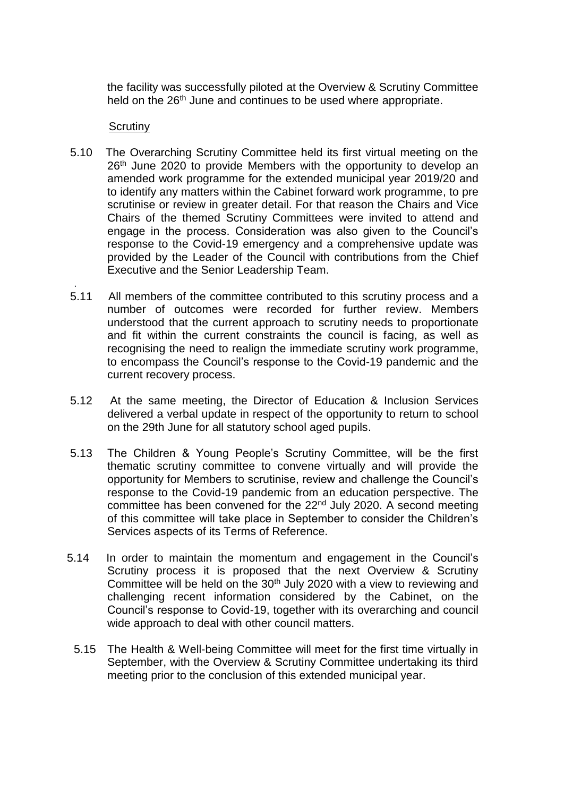the facility was successfully piloted at the Overview & Scrutiny Committee held on the 26<sup>th</sup> June and continues to be used where appropriate.

#### Scrutiny

.

- 5.10 The Overarching Scrutiny Committee held its first virtual meeting on the 26<sup>th</sup> June 2020 to provide Members with the opportunity to develop an amended work programme for the extended municipal year 2019/20 and to identify any matters within the Cabinet forward work programme, to pre scrutinise or review in greater detail. For that reason the Chairs and Vice Chairs of the themed Scrutiny Committees were invited to attend and engage in the process. Consideration was also given to the Council's response to the Covid-19 emergency and a comprehensive update was provided by the Leader of the Council with contributions from the Chief Executive and the Senior Leadership Team.
- 5.11 All members of the committee contributed to this scrutiny process and a number of outcomes were recorded for further review. Members understood that the current approach to scrutiny needs to proportionate and fit within the current constraints the council is facing, as well as recognising the need to realign the immediate scrutiny work programme, to encompass the Council's response to the Covid-19 pandemic and the current recovery process.
- 5.12 At the same meeting, the Director of Education & Inclusion Services delivered a verbal update in respect of the opportunity to return to school on the 29th June for all statutory school aged pupils.
- 5.13 The Children & Young People's Scrutiny Committee, will be the first thematic scrutiny committee to convene virtually and will provide the opportunity for Members to scrutinise, review and challenge the Council's response to the Covid-19 pandemic from an education perspective. The committee has been convened for the 22<sup>nd</sup> July 2020. A second meeting of this committee will take place in September to consider the Children's Services aspects of its Terms of Reference.
- 5.14 In order to maintain the momentum and engagement in the Council's Scrutiny process it is proposed that the next Overview & Scrutiny Committee will be held on the 30<sup>th</sup> July 2020 with a view to reviewing and challenging recent information considered by the Cabinet, on the Council's response to Covid-19, together with its overarching and council wide approach to deal with other council matters.
	- 5.15 The Health & Well-being Committee will meet for the first time virtually in September, with the Overview & Scrutiny Committee undertaking its third meeting prior to the conclusion of this extended municipal year.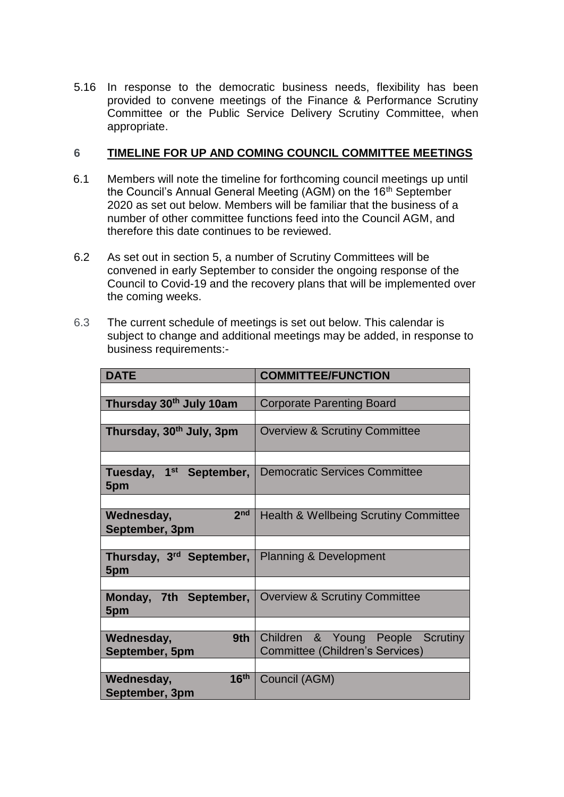5.16 In response to the democratic business needs, flexibility has been provided to convene meetings of the Finance & Performance Scrutiny Committee or the Public Service Delivery Scrutiny Committee, when appropriate.

#### **6 TIMELINE FOR UP AND COMING COUNCIL COMMITTEE MEETINGS**

- 6.1 Members will note the timeline for forthcoming council meetings up until the Council's Annual General Meeting (AGM) on the 16<sup>th</sup> September 2020 as set out below. Members will be familiar that the business of a number of other committee functions feed into the Council AGM, and therefore this date continues to be reviewed.
- 6.2 As set out in section 5, a number of Scrutiny Committees will be convened in early September to consider the ongoing response of the Council to Covid-19 and the recovery plans that will be implemented over the coming weeks.
- 6.3 The current schedule of meetings is set out below. This calendar is subject to change and additional meetings may be added, in response to business requirements:-

| <b>DATE</b>                                      | <b>COMMITTEE/FUNCTION</b>                                                  |
|--------------------------------------------------|----------------------------------------------------------------------------|
|                                                  |                                                                            |
| Thursday 30th July 10am                          | <b>Corporate Parenting Board</b>                                           |
|                                                  |                                                                            |
| Thursday, 30 <sup>th</sup> July, 3pm             | <b>Overview &amp; Scrutiny Committee</b>                                   |
|                                                  |                                                                            |
| 1 <sup>st</sup> September,<br>Tuesday,<br>5pm    | <b>Democratic Services Committee</b>                                       |
|                                                  |                                                                            |
| 2 <sub>nd</sub><br>Wednesday,<br>September, 3pm  | <b>Health &amp; Wellbeing Scrutiny Committee</b>                           |
|                                                  |                                                                            |
| Thursday, 3 <sup>rd</sup> September,<br>5pm      | <b>Planning &amp; Development</b>                                          |
|                                                  |                                                                            |
| Monday, 7th September,<br>5pm                    | <b>Overview &amp; Scrutiny Committee</b>                                   |
|                                                  |                                                                            |
| Wednesday,<br>9th<br>September, 5pm              | Children & Young People Scrutiny<br><b>Committee (Children's Services)</b> |
|                                                  |                                                                            |
| 16 <sup>th</sup><br>Wednesday,<br>September, 3pm | Council (AGM)                                                              |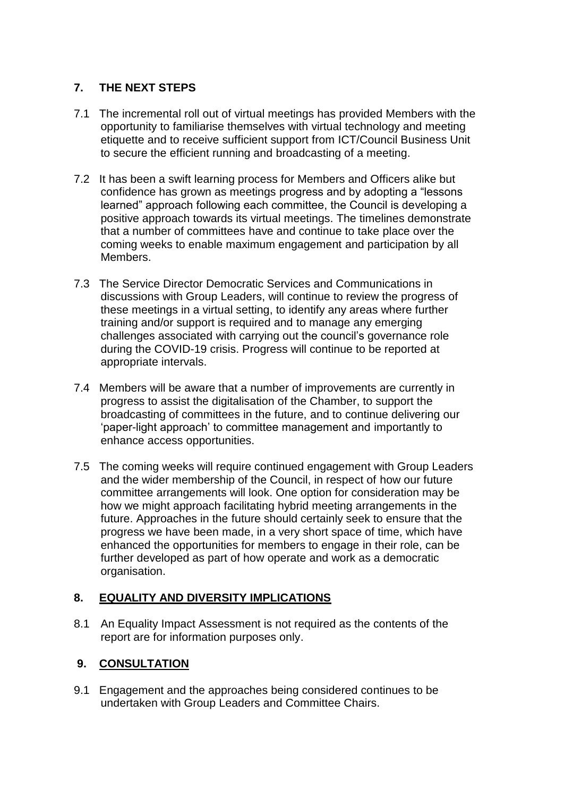## **7. THE NEXT STEPS**

- 7.1 The incremental roll out of virtual meetings has provided Members with the opportunity to familiarise themselves with virtual technology and meeting etiquette and to receive sufficient support from ICT/Council Business Unit to secure the efficient running and broadcasting of a meeting.
- 7.2 It has been a swift learning process for Members and Officers alike but confidence has grown as meetings progress and by adopting a "lessons learned" approach following each committee, the Council is developing a positive approach towards its virtual meetings. The timelines demonstrate that a number of committees have and continue to take place over the coming weeks to enable maximum engagement and participation by all Members.
- 7.3 The Service Director Democratic Services and Communications in discussions with Group Leaders, will continue to review the progress of these meetings in a virtual setting, to identify any areas where further training and/or support is required and to manage any emerging challenges associated with carrying out the council's governance role during the COVID-19 crisis. Progress will continue to be reported at appropriate intervals.
- 7.4 Members will be aware that a number of improvements are currently in progress to assist the digitalisation of the Chamber, to support the broadcasting of committees in the future, and to continue delivering our 'paper-light approach' to committee management and importantly to enhance access opportunities.
- 7.5 The coming weeks will require continued engagement with Group Leaders and the wider membership of the Council, in respect of how our future committee arrangements will look. One option for consideration may be how we might approach facilitating hybrid meeting arrangements in the future. Approaches in the future should certainly seek to ensure that the progress we have been made, in a very short space of time, which have enhanced the opportunities for members to engage in their role, can be further developed as part of how operate and work as a democratic organisation.

### **8. EQUALITY AND DIVERSITY IMPLICATIONS**

8.1 An Equality Impact Assessment is not required as the contents of the report are for information purposes only.

## **9. CONSULTATION**

9.1 Engagement and the approaches being considered continues to be undertaken with Group Leaders and Committee Chairs.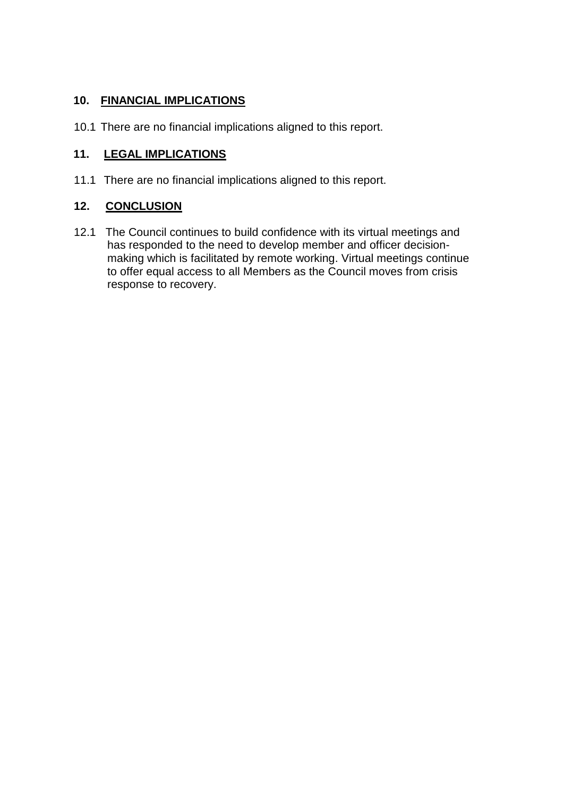## **10. FINANCIAL IMPLICATIONS**

10.1 There are no financial implications aligned to this report.

## **11. LEGAL IMPLICATIONS**

11.1 There are no financial implications aligned to this report.

#### **12. CONCLUSION**

12.1 The Council continues to build confidence with its virtual meetings and has responded to the need to develop member and officer decisionmaking which is facilitated by remote working. Virtual meetings continue to offer equal access to all Members as the Council moves from crisis response to recovery.